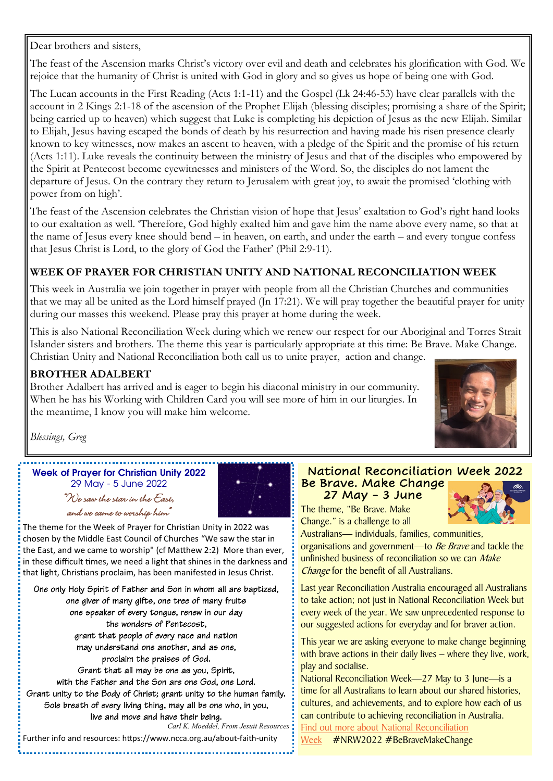Dear brothers and sisters,

The feast of the Ascension marks Christ's victory over evil and death and celebrates his glorification with God. We rejoice that the humanity of Christ is united with God in glory and so gives us hope of being one with God.

The Lucan accounts in the First Reading (Acts 1:1-11) and the Gospel (Lk 24:46-53) have clear parallels with the account in 2 Kings 2:1-18 of the ascension of the Prophet Elijah (blessing disciples; promising a share of the Spirit; being carried up to heaven) which suggest that Luke is completing his depiction of Jesus as the new Elijah. Similar to Elijah, Jesus having escaped the bonds of death by his resurrection and having made his risen presence clearly known to key witnesses, now makes an ascent to heaven, with a pledge of the Spirit and the promise of his return (Acts 1:11). Luke reveals the continuity between the ministry of Jesus and that of the disciples who empowered by the Spirit at Pentecost become eyewitnesses and ministers of the Word. So, the disciples do not lament the departure of Jesus. On the contrary they return to Jerusalem with great joy, to await the promised 'clothing with power from on high'.

The feast of the Ascension celebrates the Christian vision of hope that Jesus' exaltation to God's right hand looks to our exaltation as well. 'Therefore, God highly exalted him and gave him the name above every name, so that at the name of Jesus every knee should bend – in heaven, on earth, and under the earth – and every tongue confess that Jesus Christ is Lord, to the glory of God the Father' (Phil 2:9-11).

### **WEEK OF PRAYER FOR CHRISTIAN UNITY AND NATIONAL RECONCILIATION WEEK**

This week in Australia we join together in prayer with people from all the Christian Churches and communities that we may all be united as the Lord himself prayed (Jn 17:21). We will pray together the beautiful prayer for unity during our masses this weekend. Please pray this prayer at home during the week.

This is also National Reconciliation Week during which we renew our respect for our Aboriginal and Torres Strait Islander sisters and brothers. The theme this year is particularly appropriate at this time: Be Brave. Make Change. Christian Unity and National Reconciliation both call us to unite prayer, action and change.

### **BROTHER ADALBERT**

Brother Adalbert has arrived and is eager to begin his diaconal ministry in our community. When he has his Working with Children Card you will see more of him in our liturgies. In the meantime, I know you will make him welcome.



*Blessings, Greg*

**Week of Prayer for Christian Unity 2022** 29 May - 5 June 2022

"We saw the star in the East, and we came to worship him"



The theme for the Week of Prayer for Christian Unity in 2022 was chosen by the Middle East Council of Churches "We saw the star in the East, and we came to worship" (cf Matthew 2:2) More than ever, in these difficult times, we need a light that shines in the darkness and that light, Christians proclaim, has been manifested in Jesus Christ.

One only Holy Spirit of Father and Son in whom all are baptized, one giver of many gifts, one tree of many fruits one speaker of every tongue, renew in our day the wonders of Pentecost, grant that people of every race and nation may understand one another, and as one, proclaim the praises of God. Grant that all may be one as you, Spirit, with the Father and the Son are one God, one Lord. Grant unity to the Body of Christ; grant unity to the human family. Sole breath of every living thing, may all be one who, in you, live and move and have their being. *Carl K. Moeddel, From Jesuit Resources* 

Further info and resources: https://www.ncca.org.au/about-faith-unity

### National Reconciliation Week 2022 Be Brave. Make Change

27 May - 3 June

The theme, "Be Brave. Make Change." is a challenge to all

Australians— individuals, families, communities, organisations and government—to Be Brave and tackle the unfinished business of reconciliation so we can Make Change for the benefit of all Australians.

Last year Reconciliation Australia encouraged all Australians to take action; not just in National Reconciliation Week but every week of the year. We saw unprecedented response to our suggested actions for everyday and for braver action.

This year we are asking everyone to make change beginning with brave actions in their daily lives – where they live, work, play and socialise.

National Reconciliation Week—27 May to 3 June—is a time for all Australians to learn about our shared histories, cultures, and achievements, and to explore how each of us can contribute to achieving reconciliation in Australia. [Find out more about National Reconciliation](https://nrw.reconciliation.org.au/about-nrw/) 

[Week](https://nrw.reconciliation.org.au/about-nrw/) #NRW2022 #BeBraveMakeChange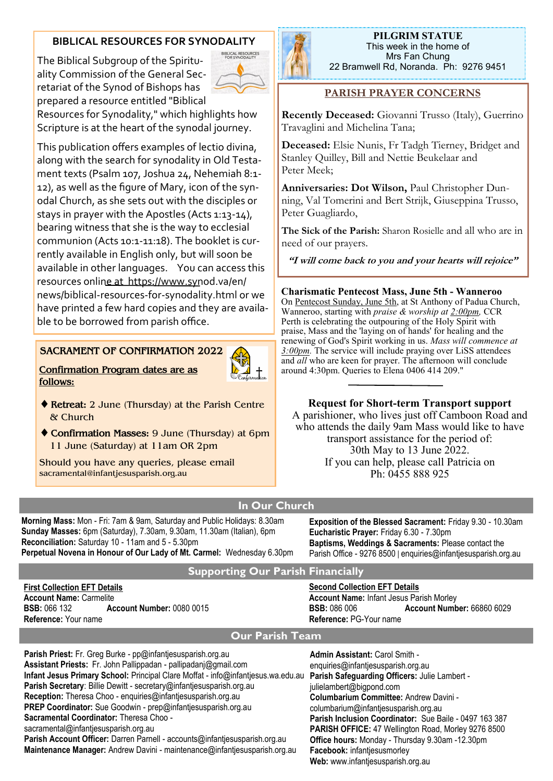## **BIBLICAL RESOURCES FOR SYNODALITY**

**BIBLICAL RESOURCES** The Biblical Subgroup of the Spirituality Commission of the General Secretariat of the Synod of Bishops has prepared a resource entitled "Biblical Resources for Synodality," which highlights how Scripture is at the heart of the synodal journey.

This publication offers examples of lectio divina, along with the search for synodality in Old Testament texts (Psalm 107, Joshua 24, Nehemiah 8:1- 12), as well as the figure of Mary, icon of the synodal Church, as she sets out with the disciples or stays in prayer with the Apostles (Acts 1:13-14), bearing witness that she is the way to ecclesial communion (Acts 10:1-11:18). The booklet is currently available in English only, but will soon be available in other languages. You can access this resources online at https://www.synod.va/en/ news/biblical-resources-for-synodality.html or we have printed a few hard copies and they are availa-



**PILGRIM STATUE**  This week in the home of Mrs Fan Chung 22 Bramwell Rd, Noranda. Ph: 9276 9451

## **PARISH PRAYER CONCERNS**

**Recently Deceased:** Giovanni Trusso (Italy), Guerrino Travaglini and Michelina Tana;

**Deceased:** Elsie Nunis, Fr Tadgh Tierney, Bridget and Stanley Quilley, Bill and Nettie Beukelaar and Peter Meek;

**Anniversaries: Dot Wilson,** Paul Christopher Dunning, Val Tomerini and Bert Strijk, Giuseppina Trusso, Peter Guagliardo,

**The Sick of the Parish:** Sharon Rosielle and all who are in need of our prayers.

**"I will come back to you and your hearts will rejoice"**

#### **Charismatic Pentecost Mass, June 5th - Wanneroo**

On Pentecost Sunday, June 5th, at St Anthony of Padua Church, Wanneroo, starting with *praise & worship at 2:00pm,* CCR Perth is celebrating the outpouring of the Holy Spirit with praise, Mass and the 'laying on of hands' for healing and the renewing of God's Spirit working in us. *Mass will commence at 3:00pm.* The service will include praying over LiSS attendees and *all* who are keen for prayer. The afternoon will conclude around 4:30pm. Queries to Elena 0406 414 209."

#### **Request for Short-term Transport support**

A parishioner, who lives just off Camboon Road and who attends the daily 9am Mass would like to have transport assistance for the period of: 30th May to 13 June 2022. If you can help, please call Patricia on Ph: 0455 888 925

# **In Our Church**

**Morning Mass:** Mon - Fri: 7am & 9am, Saturday and Public Holidays: 8.30am **Sunday Masses:** 6pm (Saturday), 7.30am, 9.30am, 11.30am (Italian), 6pm **Reconciliation:** Saturday 10 - 11am and 5 - 5.30pm **Perpetual Novena in Honour of Our Lady of Mt. Carmel:** Wednesday 6.30pm

**Retreat:** 2 June (Thursday) at the Parish Centre

**SACRAMENT OF CONFIRMATION 2022**

ble to be borrowed from parish office.

11 June (Saturday) at 11am OR 2pm Should you have any queries, please email

**Confirmation Program dates are as** 

sacramental@infantjesusparish.org.au

**follows:**

& Church

**Exposition of the Blessed Sacrament:** Friday 9.30 - 10.30am **Eucharistic Prayer:** Friday 6.30 - 7.30pm **Baptisms, Weddings & Sacraments:** Please contact the Parish Office - 9276 8500 | enquiries@infantjesusparish.org.au

#### **Supporting Our Parish Financially**

**First Collection EFT Details Account Name:** Carmelite **BSB:** 066 132 **Account Number:** 0080 0015 **Reference:** Your name

**Second Collection EFT Details**

**Account Name:** Infant Jesus Parish Morley **BSB:** 086 006 **Account Number:** 66860 6029 **Reference:** PG-Your name

## **Our Parish Team**

**Parish Priest:** Fr. Greg Burke - pp@infantjesusparish.org.au **Assistant Priests:** Fr. John Pallippadan - pallipadanj@gmail.com **Infant Jesus Primary School:** Principal Clare Moffat - info@infantjesus.wa.edu.au **Parish Secretary**: Billie Dewitt - secretary@infantjesusparish.org.au **Reception:** Theresa Choo - enquiries@infantjesusparish.org.au **PREP Coordinator:** Sue Goodwin - prep@infantjesusparish.org.au **Sacramental Coordinator:** Theresa Choo sacramental@infantjesusparish.org.au **Parish Account Officer:** Darren Parnell - accounts@infantjesusparish.org.au **Maintenance Manager:** Andrew Davini - maintenance@infantjesusparish.org.au **Admin Assistant:** Carol Smith enquiries@infantjesusparish.org.au **Parish Safeguarding Officers:** Julie Lambert julielambert@bigpond.com **Columbarium Committee:** Andrew Davini columbarium@infantjesusparish.org.au **Parish Inclusion Coordinator:** Sue Baile - 0497 163 387 **PARISH OFFICE:** 47 Wellington Road, Morley 9276 8500 **Office hours:** Monday - Thursday 9.30am -12.30pm **Facebook:** infantjesusmorley **Web:** www.infantjesusparish.org.au

**Confirmation Masses:** 9 June (Thursday) at 6pm